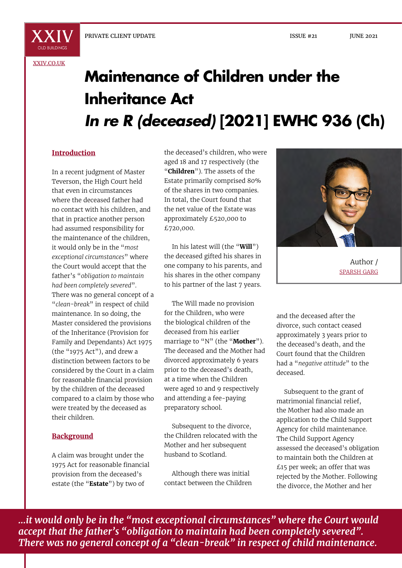[XXIV.CO.UK](http://xxiv.co.uk)

# **Maintenance of Children under the Inheritance Act** *In re R (deceased)* **[2021] EWHC 936 (Ch)**

#### **Introduction**

In a recent judgment of Master Teverson, the High Court held that even in circumstances where the deceased father had no contact with his children, and that in practice another person had assumed responsibility for the maintenance of the children, it would only be in the "*most exceptional circumstances*" where the Court would accept that the father's "*obligation to maintain had been completely severed*". There was no general concept of a "*clean-break*" in respect of child maintenance. In so doing, the Master considered the provisions of the Inheritance (Provision for Family and Dependants) Act 1975 (the "1975 Act"), and drew a distinction between factors to be considered by the Court in a claim for reasonable financial provision by the children of the deceased compared to a claim by those who were treated by the deceased as their children.

#### **Background**

A claim was brought under the 1975 Act for reasonable financial provision from the deceased's estate (the "**Estate**") by two of

the deceased's children, who were aged 18 and 17 respectively (the "**Children**"). The assets of the Estate primarily comprised 80% of the shares in two companies. In total, the Court found that the net value of the Estate was approximately £520,000 to £720,000.

In his latest will (the "**Will**") the deceased gifted his shares in one company to his parents, and his shares in the other company to his partner of the last 7 years.

The Will made no provision for the Children, who were the biological children of the deceased from his earlier marriage to "N" (the "**Mother**"). The deceased and the Mother had divorced approximately 6 years prior to the deceased's death, at a time when the Children were aged 10 and 9 respectively and attending a fee-paying preparatory school.

Subsequent to the divorce, the Children relocated with the Mother and her subsequent husband to Scotland.

Although there was initial contact between the Children



Author / SPARSH GARG

and the deceased after the divorce, such contact ceased approximately 3 years prior to the deceased's death, and the Court found that the Children had a "*negative attitude*" to the deceased.

Subsequent to the grant of matrimonial financial relief, the Mother had also made an application to the Child Support Agency for child maintenance. The Child Support Agency assessed the deceased's obligation to maintain both the Children at £15 per week; an offer that was rejected by the Mother. Following the divorce, the Mother and her

*...it would only be in the "most exceptional circumstances" where the Court would accept that the father's "obligation to maintain had been completely severed". There was no general concept of a "clean-break" in respect of child maintenance.*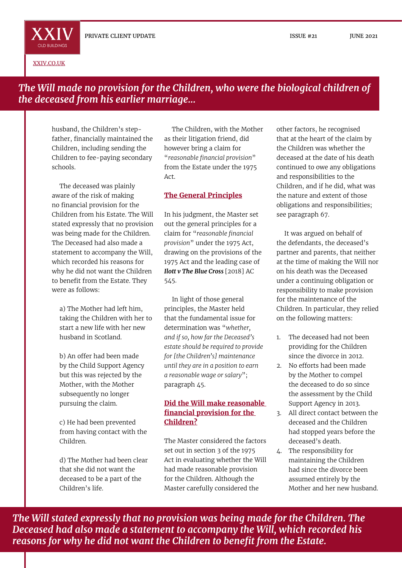ISSUE #21 JUNE 2021

[XXIV.CO.UK](http://xxiv.co.uk)

OLD RUILDINGS

## *The Will made no provision for the Children, who were the biological children of the deceased from his earlier marriage...*

husband, the Children's stepfather, financially maintained the Children, including sending the Children to fee-paying secondary schools.

The deceased was plainly aware of the risk of making no financial provision for the Children from his Estate. The Will stated expressly that no provision was being made for the Children. The Deceased had also made a statement to accompany the Will, which recorded his reasons for why he did not want the Children to benefit from the Estate. They were as follows:

a) The Mother had left him, taking the Children with her to start a new life with her new husband in Scotland.

b) An offer had been made by the Child Support Agency but this was rejected by the Mother, with the Mother subsequently no longer pursuing the claim.

c) He had been prevented from having contact with the Children.

d) The Mother had been clear that she did not want the deceased to be a part of the Children's life.

The Children, with the Mother as their litigation friend, did however bring a claim for "*reasonable financial provision*" from the Estate under the 1975 Act.

#### **The General Principles**

In his judgment, the Master set out the general principles for a claim for "*reasonable financial provision*" under the 1975 Act, drawing on the provisions of the 1975 Act and the leading case of *Ilott v The Blue Cross* [2018] AC 545.

In light of those general principles, the Master held that the fundamental issue for determination was "*whether, and if so, how far the Deceased's estate should be required to provide for [the Children's] maintenance until they are in a position to earn a reasonable wage or salary*"; paragraph 45.

#### **Did the Will make reasonable financial provision for the Children?**

The Master considered the factors set out in section 3 of the 1975 Act in evaluating whether the Will had made reasonable provision for the Children. Although the Master carefully considered the

other factors, he recognised that at the heart of the claim by the Children was whether the deceased at the date of his death continued to owe any obligations and responsibilities to the Children, and if he did, what was the nature and extent of those obligations and responsibilities; see paragraph 67.

It was argued on behalf of the defendants, the deceased's partner and parents, that neither at the time of making the Will nor on his death was the Deceased under a continuing obligation or responsibility to make provision for the maintenance of the Children. In particular, they relied on the following matters:

- 1. The deceased had not been providing for the Children since the divorce in 2012.
- 2. No efforts had been made by the Mother to compel the deceased to do so since the assessment by the Child Support Agency in 2013.
- 3. All direct contact between the deceased and the Children had stopped years before the deceased's death.
- 4. The responsibility for maintaining the Children had since the divorce been assumed entirely by the Mother and her new husband.

*The Will stated expressly that no provision was being made for the Children. The Deceased had also made a statement to accompany the Will, which recorded his reasons for why he did not want the Children to benefit from the Estate.*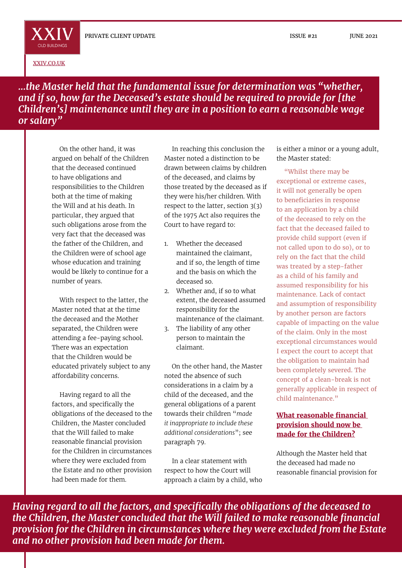ISSUE #21 JUNE 2021

[XXIV.CO.UK](http://xxiv.co.uk)

**XXIV** OLD BUILDINGS

*...the Master held that the fundamental issue for determination was "whether, and if so, how far the Deceased's estate should be required to provide for [the Children's] maintenance until they are in a position to earn a reasonable wage or salary"*

On the other hand, it was argued on behalf of the Children that the deceased continued to have obligations and responsibilities to the Children both at the time of making the Will and at his death. In particular, they argued that such obligations arose from the very fact that the deceased was the father of the Children, and the Children were of school age whose education and training would be likely to continue for a number of years.

With respect to the latter, the Master noted that at the time the deceased and the Mother separated, the Children were attending a fee-paying school. There was an expectation that the Children would be educated privately subject to any affordability concerns.

Having regard to all the factors, and specifically the obligations of the deceased to the Children, the Master concluded that the Will failed to make reasonable financial provision for the Children in circumstances where they were excluded from the Estate and no other provision had been made for them.

In reaching this conclusion the Master noted a distinction to be drawn between claims by children of the deceased, and claims by those treated by the deceased as if they were his/her children. With respect to the latter, section 3(3) of the 1975 Act also requires the Court to have regard to:

- 1. Whether the deceased maintained the claimant, and if so, the length of time and the basis on which the deceased so.
- 2. Whether and, if so to what extent, the deceased assumed responsibility for the maintenance of the claimant.
- 3. The liability of any other person to maintain the claimant.

On the other hand, the Master noted the absence of such considerations in a claim by a child of the deceased, and the general obligations of a parent towards their children "*made it inappropriate to include these additional considerations*"; see paragraph 79.

In a clear statement with respect to how the Court will approach a claim by a child, who is either a minor or a young adult, the Master stated:

"Whilst there may be exceptional or extreme cases, it will not generally be open to beneficiaries in response to an application by a child of the deceased to rely on the fact that the deceased failed to provide child support (even if not called upon to do so), or to rely on the fact that the child was treated by a step-father as a child of his family and assumed responsibility for his maintenance. Lack of contact and assumption of responsibility by another person are factors capable of impacting on the value of the claim. Only in the most exceptional circumstances would I expect the court to accept that the obligation to maintain had been completely severed. The concept of a clean-break is not generally applicable in respect of child maintenance."

#### **What reasonable financial provision should now be made for the Children?**

Although the Master held that the deceased had made no reasonable financial provision for

*Having regard to all the factors, and specifically the obligations of the deceased to the Children, the Master concluded that the Will failed to make reasonable financial provision for the Children in circumstances where they were excluded from the Estate and no other provision had been made for them.*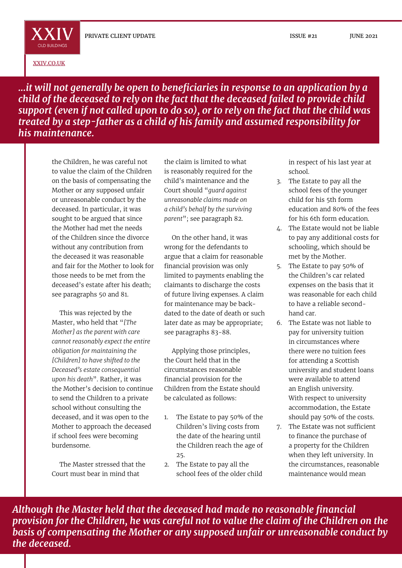[XXIV.CO.UK](http://xxiv.co.uk)

OLD BUILDINGS

ISSUE #21 JUNE 2021

*...it will not generally be open to beneficiaries in response to an application by a child of the deceased to rely on the fact that the deceased failed to provide child support (even if not called upon to do so), or to rely on the fact that the child was treated by a step-father as a child of his family and assumed responsibility for his maintenance.*

the Children, he was careful not to value the claim of the Children on the basis of compensating the Mother or any supposed unfair or unreasonable conduct by the deceased. In particular, it was sought to be argued that since the Mother had met the needs of the Children since the divorce without any contribution from the deceased it was reasonable and fair for the Mother to look for those needs to be met from the deceased's estate after his death; see paragraphs 50 and 81.

This was rejected by the Master, who held that "*[The Mother] as the parent with care cannot reasonably expect the entire obligation for maintaining the [Children] to have shifted to the Deceased's estate consequential upon his death*". Rather, it was the Mother's decision to continue to send the Children to a private school without consulting the deceased, and it was open to the Mother to approach the deceased if school fees were becoming burdensome.

The Master stressed that the Court must bear in mind that

the claim is limited to what is reasonably required for the child's maintenance and the Court should "*guard against unreasonable claims made on a child's behalf by the surviving parent*"; see paragraph 82.

On the other hand, it was wrong for the defendants to argue that a claim for reasonable financial provision was only limited to payments enabling the claimants to discharge the costs of future living expenses. A claim for maintenance may be backdated to the date of death or such later date as may be appropriate; see paragraphs 83-88.

Applying those principles, the Court held that in the circumstances reasonable financial provision for the Children from the Estate should be calculated as follows:

- 1. The Estate to pay 50% of the Children's living costs from the date of the hearing until the Children reach the age of 25.
- 2. The Estate to pay all the school fees of the older child

in respect of his last year at school.

- 3. The Estate to pay all the school fees of the younger child for his 5th form education and 80% of the fees for his 6th form education.
- 4. The Estate would not be liable to pay any additional costs for schooling, which should be met by the Mother.
- 5. The Estate to pay 50% of the Children's car related expenses on the basis that it was reasonable for each child to have a reliable secondhand car.
- 6. The Estate was not liable to pay for university tuition in circumstances where there were no tuition fees for attending a Scottish university and student loans were available to attend an English university. With respect to university accommodation, the Estate should pay 50% of the costs.
- 7. The Estate was not sufficient to finance the purchase of a property for the Children when they left university. In the circumstances, reasonable maintenance would mean

*Although the Master held that the deceased had made no reasonable financial provision for the Children, he was careful not to value the claim of the Children on the basis of compensating the Mother or any supposed unfair or unreasonable conduct by the deceased.*